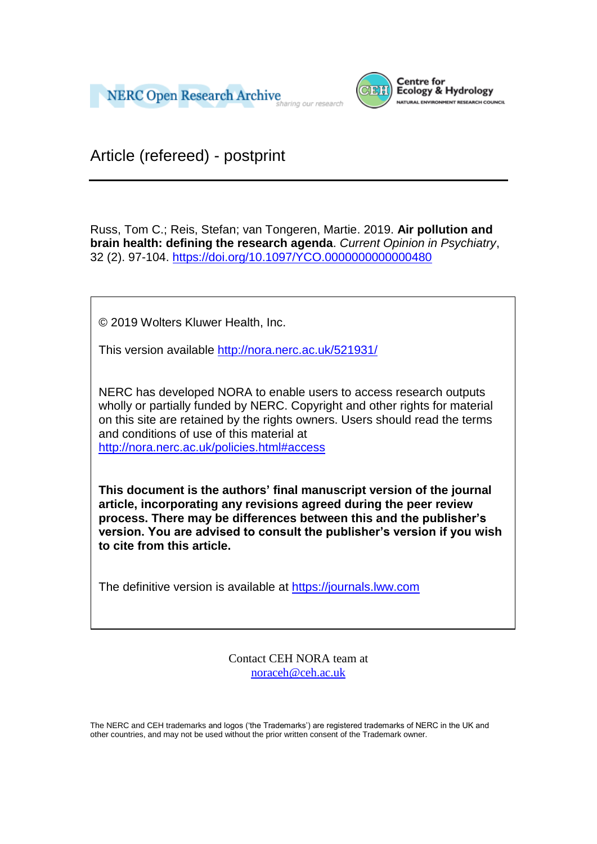



Article (refereed) - postprint

Russ, Tom C.; Reis, Stefan; van Tongeren, Martie. 2019. **Air pollution and brain health: defining the research agenda**. *Current Opinion in Psychiatry*, 32 (2). 97-104.<https://doi.org/10.1097/YCO.0000000000000480>

© 2019 Wolters Kluwer Health, Inc.

**to cite from this article.**

This version available<http://nora.nerc.ac.uk/521931/>

NERC has developed NORA to enable users to access research outputs wholly or partially funded by NERC. Copyright and other rights for material on this site are retained by the rights owners. Users should read the terms and conditions of use of this material at <http://nora.nerc.ac.uk/policies.html#access>

**This document is the authors' final manuscript version of the journal article, incorporating any revisions agreed during the peer review process. There may be differences between this and the publisher's version. You are advised to consult the publisher's version if you wish** 

The definitive version is available at [https://journals.lww.com](https://journals.lww.com/)

Contact CEH NORA team at [noraceh@ceh.ac.uk](mailto:nora@ceh.ac.uk)

The NERC and CEH trademarks and logos ('the Trademarks') are registered trademarks of NERC in the UK and other countries, and may not be used without the prior written consent of the Trademark owner*.*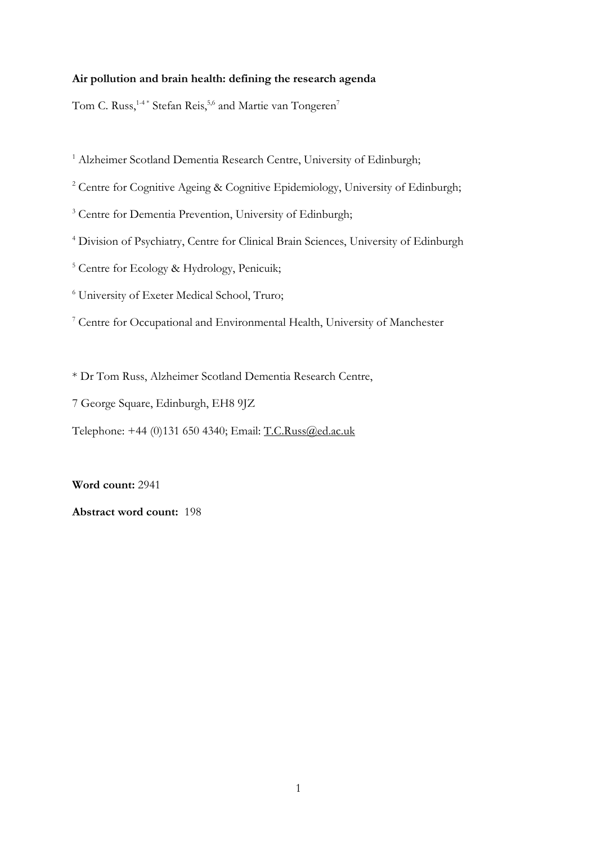# **Air pollution and brain health: defining the research agenda**

Tom C. Russ,<sup>14\*</sup> Stefan Reis,<sup>5,6</sup> and Martie van Tongeren<sup>7</sup>

<sup>1</sup> Alzheimer Scotland Dementia Research Centre, University of Edinburgh;

<sup>2</sup> Centre for Cognitive Ageing & Cognitive Epidemiology, University of Edinburgh;

<sup>3</sup> Centre for Dementia Prevention, University of Edinburgh;

<sup>4</sup> Division of Psychiatry, Centre for Clinical Brain Sciences, University of Edinburgh

<sup>5</sup> Centre for Ecology & Hydrology, Penicuik;

<sup>6</sup> University of Exeter Medical School, Truro;

<sup>7</sup> Centre for Occupational and Environmental Health, University of Manchester

\* Dr Tom Russ, Alzheimer Scotland Dementia Research Centre,

7 George Square, Edinburgh, EH8 9JZ

Telephone: +44 (0)131 650 4340; Email: [T.C.Russ@ed.ac.uk](mailto:T.C.Russ@ed.ac.uk)

**Word count:** 2941

**Abstract word count:** 198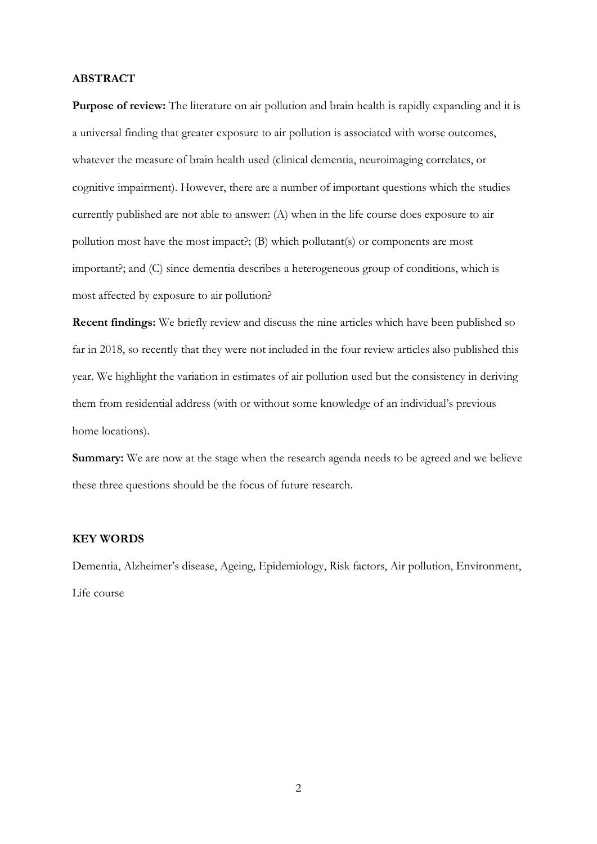#### **ABSTRACT**

**Purpose of review:** The literature on air pollution and brain health is rapidly expanding and it is a universal finding that greater exposure to air pollution is associated with worse outcomes, whatever the measure of brain health used (clinical dementia, neuroimaging correlates, or cognitive impairment). However, there are a number of important questions which the studies currently published are not able to answer: (A) when in the life course does exposure to air pollution most have the most impact?; (B) which pollutant(s) or components are most important?; and (C) since dementia describes a heterogeneous group of conditions, which is most affected by exposure to air pollution?

**Recent findings:** We briefly review and discuss the nine articles which have been published so far in 2018, so recently that they were not included in the four review articles also published this year. We highlight the variation in estimates of air pollution used but the consistency in deriving them from residential address (with or without some knowledge of an individual's previous home locations).

**Summary:** We are now at the stage when the research agenda needs to be agreed and we believe these three questions should be the focus of future research.

## **KEY WORDS**

Dementia, Alzheimer's disease, Ageing, Epidemiology, Risk factors, Air pollution, Environment, Life course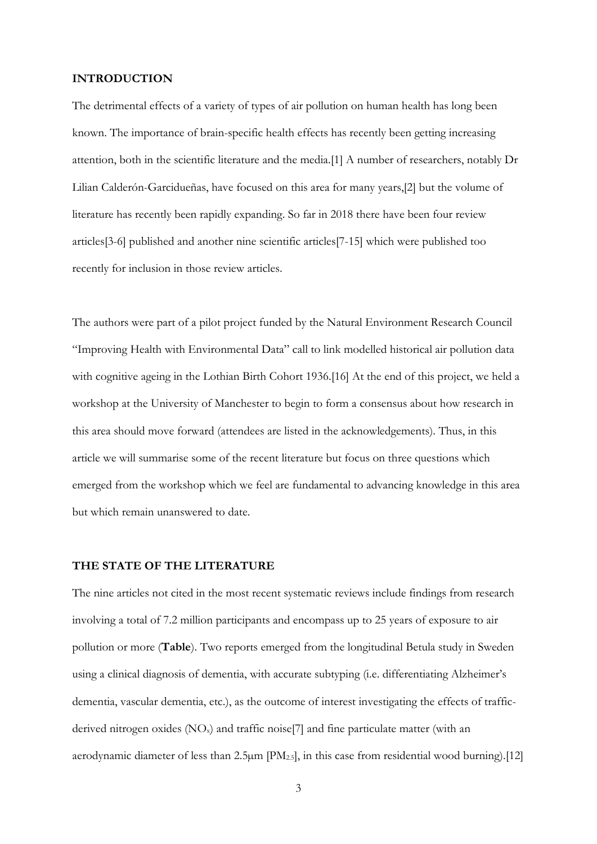#### **INTRODUCTION**

The detrimental effects of a variety of types of air pollution on human health has long been known. The importance of brain-specific health effects has recently been getting increasing attention, both in the scientific literature and the media.[1] A number of researchers, notably Dr Lilian Calderón-Garcidueñas, have focused on this area for many years,[2] but the volume of literature has recently been rapidly expanding. So far in 2018 there have been four review articles[3-6] published and another nine scientific articles[7-15] which were published too recently for inclusion in those review articles.

The authors were part of a pilot project funded by the Natural Environment Research Council "Improving Health with Environmental Data" call to link modelled historical air pollution data with cognitive ageing in the Lothian Birth Cohort 1936.[16] At the end of this project, we held a workshop at the University of Manchester to begin to form a consensus about how research in this area should move forward (attendees are listed in the acknowledgements). Thus, in this article we will summarise some of the recent literature but focus on three questions which emerged from the workshop which we feel are fundamental to advancing knowledge in this area but which remain unanswered to date.

## **THE STATE OF THE LITERATURE**

The nine articles not cited in the most recent systematic reviews include findings from research involving a total of 7.2 million participants and encompass up to 25 years of exposure to air pollution or more (**Table**). Two reports emerged from the longitudinal Betula study in Sweden using a clinical diagnosis of dementia, with accurate subtyping (i.e. differentiating Alzheimer's dementia, vascular dementia, etc.), as the outcome of interest investigating the effects of trafficderived nitrogen oxides  $(NO_x)$  and traffic noise[7] and fine particulate matter (with an aerodynamic diameter of less than 2.5µm [PM2.5], in this case from residential wood burning).[12]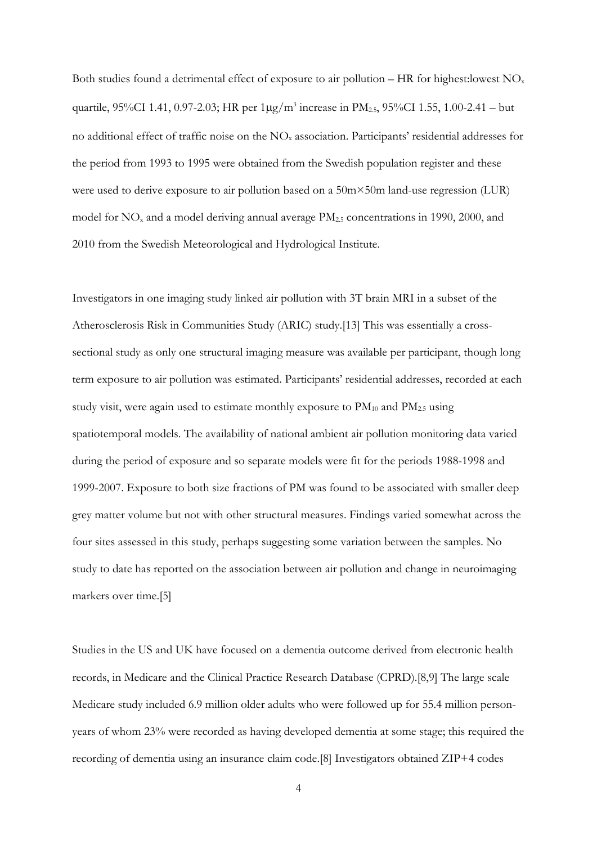Both studies found a detrimental effect of exposure to air pollution – HR for highest: lowest  $NO<sub>x</sub>$ quartile, 95%CI 1.41, 0.97-2.03; HR per  $1\mu$ g/m<sup>3</sup> increase in PM<sub>2.5</sub>, 95%CI 1.55, 1.00-2.41 – but no additional effect of traffic noise on the  $NO<sub>x</sub>$  association. Participants' residential addresses for the period from 1993 to 1995 were obtained from the Swedish population register and these were used to derive exposure to air pollution based on a 50m×50m land-use regression (LUR) model for  $NO<sub>x</sub>$  and a model deriving annual average  $PM<sub>2.5</sub>$  concentrations in 1990, 2000, and 2010 from the Swedish Meteorological and Hydrological Institute.

Investigators in one imaging study linked air pollution with 3T brain MRI in a subset of the Atherosclerosis Risk in Communities Study (ARIC) study.[13] This was essentially a crosssectional study as only one structural imaging measure was available per participant, though long term exposure to air pollution was estimated. Participants' residential addresses, recorded at each study visit, were again used to estimate monthly exposure to  $PM_{10}$  and  $PM_{2.5}$  using spatiotemporal models. The availability of national ambient air pollution monitoring data varied during the period of exposure and so separate models were fit for the periods 1988-1998 and 1999-2007. Exposure to both size fractions of PM was found to be associated with smaller deep grey matter volume but not with other structural measures. Findings varied somewhat across the four sites assessed in this study, perhaps suggesting some variation between the samples. No study to date has reported on the association between air pollution and change in neuroimaging markers over time.[5]

Studies in the US and UK have focused on a dementia outcome derived from electronic health records, in Medicare and the Clinical Practice Research Database (CPRD).[8,9] The large scale Medicare study included 6.9 million older adults who were followed up for 55.4 million personyears of whom 23% were recorded as having developed dementia at some stage; this required the recording of dementia using an insurance claim code.[8] Investigators obtained ZIP+4 codes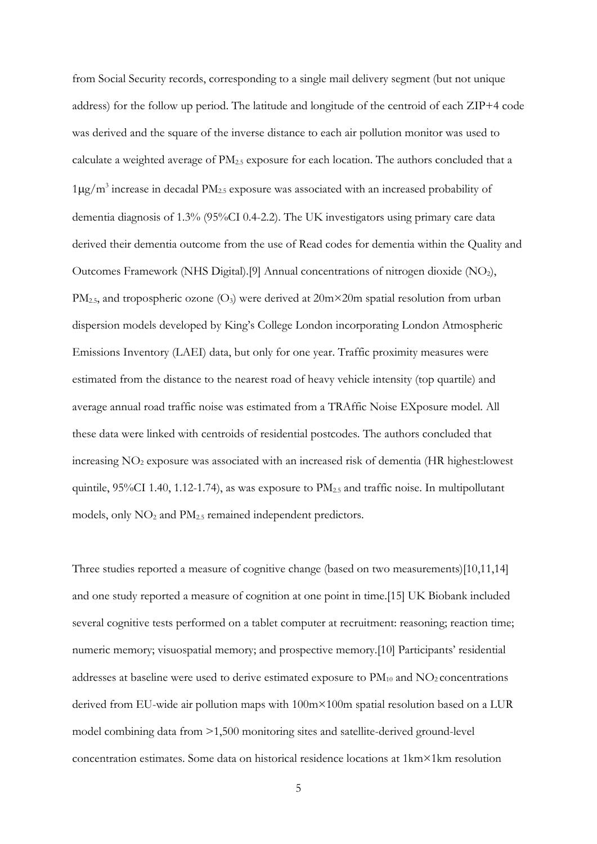from Social Security records, corresponding to a single mail delivery segment (but not unique address) for the follow up period. The latitude and longitude of the centroid of each ZIP+4 code was derived and the square of the inverse distance to each air pollution monitor was used to calculate a weighted average of PM2.5 exposure for each location. The authors concluded that a  $1\mu g/m^3$  increase in decadal PM<sub>2.5</sub> exposure was associated with an increased probability of dementia diagnosis of 1.3% (95%CI 0.4-2.2). The UK investigators using primary care data derived their dementia outcome from the use of Read codes for dementia within the Quality and Outcomes Framework (NHS Digital).[9] Annual concentrations of nitrogen dioxide (NO2),  $PM_{2.5}$ , and tropospheric ozone (O<sub>3</sub>) were derived at  $20m \times 20m$  spatial resolution from urban dispersion models developed by King's College London incorporating London Atmospheric Emissions Inventory (LAEI) data, but only for one year. Traffic proximity measures were estimated from the distance to the nearest road of heavy vehicle intensity (top quartile) and average annual road traffic noise was estimated from a TRAffic Noise EXposure model. All these data were linked with centroids of residential postcodes. The authors concluded that increasing NO2 exposure was associated with an increased risk of dementia (HR highest:lowest quintile, 95%CI 1.40, 1.12-1.74), as was exposure to PM2.5 and traffic noise. In multipollutant models, only NO<sub>2</sub> and PM<sub>2.5</sub> remained independent predictors.

Three studies reported a measure of cognitive change (based on two measurements)[10,11,14] and one study reported a measure of cognition at one point in time.[15] UK Biobank included several cognitive tests performed on a tablet computer at recruitment: reasoning; reaction time; numeric memory; visuospatial memory; and prospective memory.[10] Participants' residential addresses at baseline were used to derive estimated exposure to  $PM_{10}$  and  $NO_2$  concentrations derived from EU-wide air pollution maps with 100m×100m spatial resolution based on a LUR model combining data from >1,500 monitoring sites and satellite-derived ground-level concentration estimates. Some data on historical residence locations at 1km×1km resolution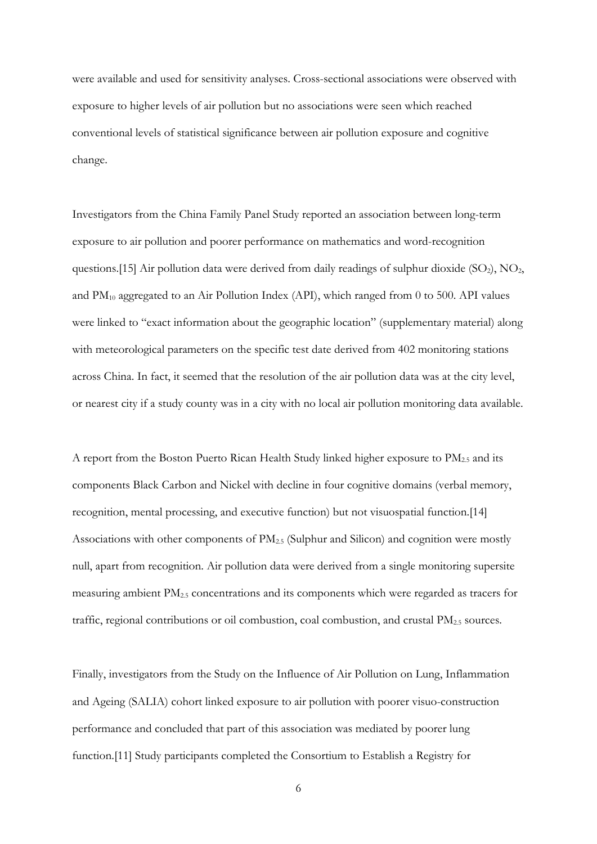were available and used for sensitivity analyses. Cross-sectional associations were observed with exposure to higher levels of air pollution but no associations were seen which reached conventional levels of statistical significance between air pollution exposure and cognitive change.

Investigators from the China Family Panel Study reported an association between long-term exposure to air pollution and poorer performance on mathematics and word-recognition questions.[15] Air pollution data were derived from daily readings of sulphur dioxide  $(SO<sub>2</sub>)$ ,  $NO<sub>2</sub>$ , and  $PM_{10}$  aggregated to an Air Pollution Index (API), which ranged from 0 to 500. API values were linked to "exact information about the geographic location" (supplementary material) along with meteorological parameters on the specific test date derived from 402 monitoring stations across China. In fact, it seemed that the resolution of the air pollution data was at the city level, or nearest city if a study county was in a city with no local air pollution monitoring data available.

A report from the Boston Puerto Rican Health Study linked higher exposure to  $PM_{2.5}$  and its components Black Carbon and Nickel with decline in four cognitive domains (verbal memory, recognition, mental processing, and executive function) but not visuospatial function.[14] Associations with other components of PM2.5 (Sulphur and Silicon) and cognition were mostly null, apart from recognition. Air pollution data were derived from a single monitoring supersite measuring ambient PM2.5 concentrations and its components which were regarded as tracers for traffic, regional contributions or oil combustion, coal combustion, and crustal  $PM<sub>2.5</sub>$  sources.

Finally, investigators from the Study on the Influence of Air Pollution on Lung, Inflammation and Ageing (SALIA) cohort linked exposure to air pollution with poorer visuo-construction performance and concluded that part of this association was mediated by poorer lung function.[11] Study participants completed the Consortium to Establish a Registry for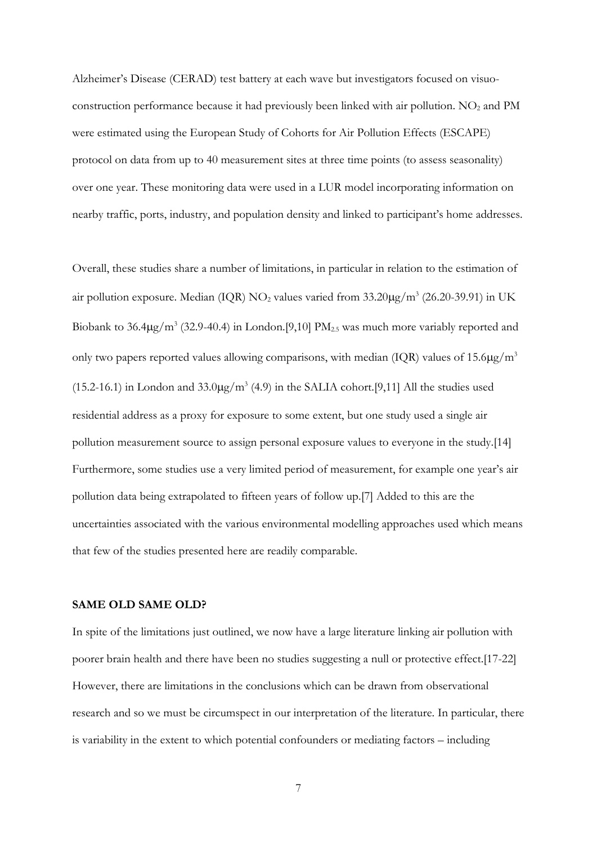Alzheimer's Disease (CERAD) test battery at each wave but investigators focused on visuoconstruction performance because it had previously been linked with air pollution.  $NO<sub>2</sub>$  and PM were estimated using the European Study of Cohorts for Air Pollution Effects (ESCAPE) protocol on data from up to 40 measurement sites at three time points (to assess seasonality) over one year. These monitoring data were used in a LUR model incorporating information on nearby traffic, ports, industry, and population density and linked to participant's home addresses.

Overall, these studies share a number of limitations, in particular in relation to the estimation of air pollution exposure. Median (IQR) NO<sub>2</sub> values varied from  $33.20\mu g/m^3$  (26.20-39.91) in UK Biobank to  $36.4\mu$ g/m<sup>3</sup> (32.9-40.4) in London.[9,10] PM<sub>2.5</sub> was much more variably reported and only two papers reported values allowing comparisons, with median (IQR) values of  $15.6\mu g/m<sup>3</sup>$ (15.2-16.1) in London and  $33.0\mu g/m^3$  (4.9) in the SALIA cohort.[9,11] All the studies used residential address as a proxy for exposure to some extent, but one study used a single air pollution measurement source to assign personal exposure values to everyone in the study.[14] Furthermore, some studies use a very limited period of measurement, for example one year's air pollution data being extrapolated to fifteen years of follow up.[7] Added to this are the uncertainties associated with the various environmental modelling approaches used which means that few of the studies presented here are readily comparable.

#### **SAME OLD SAME OLD?**

In spite of the limitations just outlined, we now have a large literature linking air pollution with poorer brain health and there have been no studies suggesting a null or protective effect.[17-22] However, there are limitations in the conclusions which can be drawn from observational research and so we must be circumspect in our interpretation of the literature. In particular, there is variability in the extent to which potential confounders or mediating factors – including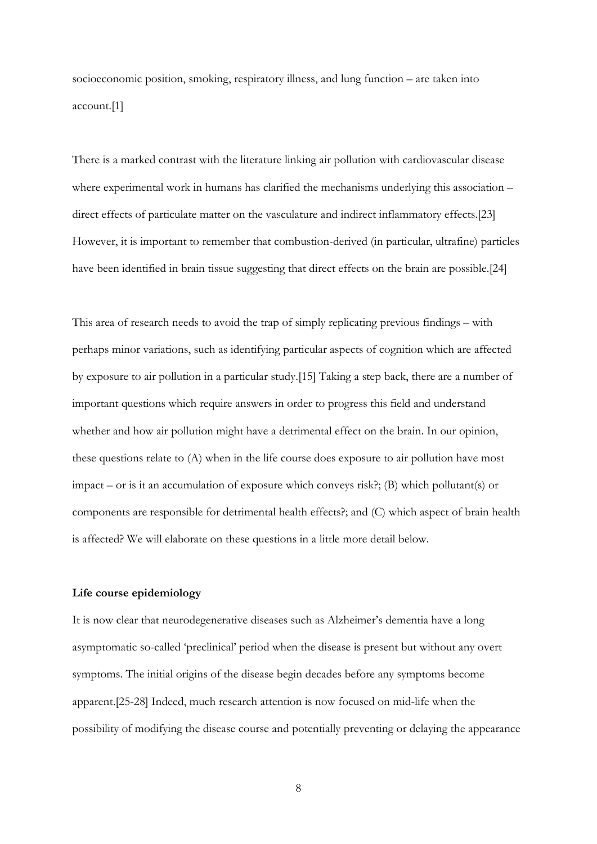socioeconomic position, smoking, respiratory illness, and lung function – are taken into account.[1]

There is a marked contrast with the literature linking air pollution with cardiovascular disease where experimental work in humans has clarified the mechanisms underlying this association – direct effects of particulate matter on the vasculature and indirect inflammatory effects.[23] However, it is important to remember that combustion-derived (in particular, ultrafine) particles have been identified in brain tissue suggesting that direct effects on the brain are possible.[24]

This area of research needs to avoid the trap of simply replicating previous findings – with perhaps minor variations, such as identifying particular aspects of cognition which are affected by exposure to air pollution in a particular study.[15] Taking a step back, there are a number of important questions which require answers in order to progress this field and understand whether and how air pollution might have a detrimental effect on the brain. In our opinion, these questions relate to (A) when in the life course does exposure to air pollution have most impact – or is it an accumulation of exposure which conveys risk?; (B) which pollutant(s) or components are responsible for detrimental health effects?; and (C) which aspect of brain health is affected? We will elaborate on these questions in a little more detail below.

### **Life course epidemiology**

It is now clear that neurodegenerative diseases such as Alzheimer's dementia have a long asymptomatic so-called 'preclinical' period when the disease is present but without any overt symptoms. The initial origins of the disease begin decades before any symptoms become apparent.[25-28] Indeed, much research attention is now focused on mid-life when the possibility of modifying the disease course and potentially preventing or delaying the appearance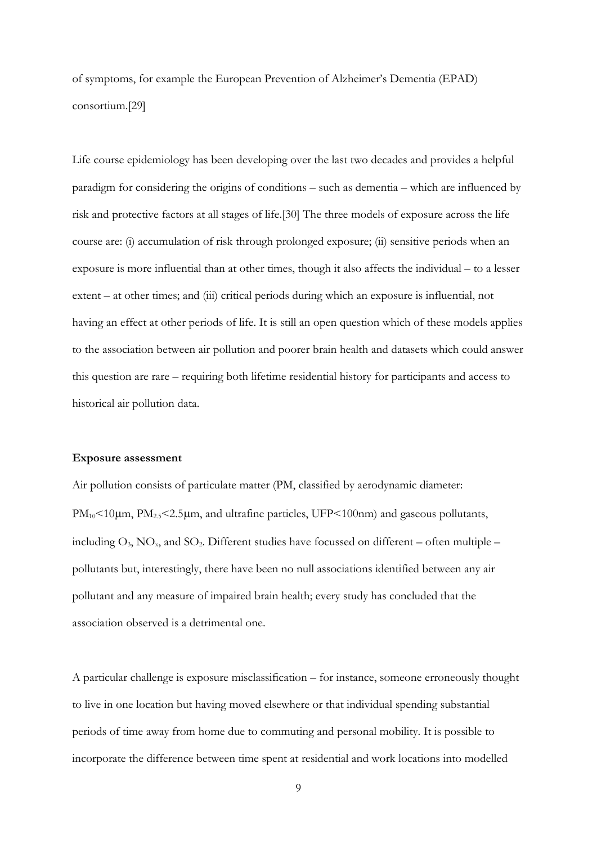of symptoms, for example the European Prevention of Alzheimer's Dementia (EPAD) consortium.[29]

Life course epidemiology has been developing over the last two decades and provides a helpful paradigm for considering the origins of conditions – such as dementia – which are influenced by risk and protective factors at all stages of life.[30] The three models of exposure across the life course are: (i) accumulation of risk through prolonged exposure; (ii) sensitive periods when an exposure is more influential than at other times, though it also affects the individual – to a lesser extent – at other times; and (iii) critical periods during which an exposure is influential, not having an effect at other periods of life. It is still an open question which of these models applies to the association between air pollution and poorer brain health and datasets which could answer this question are rare – requiring both lifetime residential history for participants and access to historical air pollution data.

## **Exposure assessment**

Air pollution consists of particulate matter (PM, classified by aerodynamic diameter:  $PM_{10}$ <10 $\mu$ m,  $PM_{2.5}$ <2.5 $\mu$ m, and ultrafine particles, UFP<100 $\mu$ m) and gaseous pollutants, including  $O_3$ , NO<sub>x</sub>, and SO<sub>2</sub>. Different studies have focussed on different – often multiple – pollutants but, interestingly, there have been no null associations identified between any air pollutant and any measure of impaired brain health; every study has concluded that the association observed is a detrimental one.

A particular challenge is exposure misclassification – for instance, someone erroneously thought to live in one location but having moved elsewhere or that individual spending substantial periods of time away from home due to commuting and personal mobility. It is possible to incorporate the difference between time spent at residential and work locations into modelled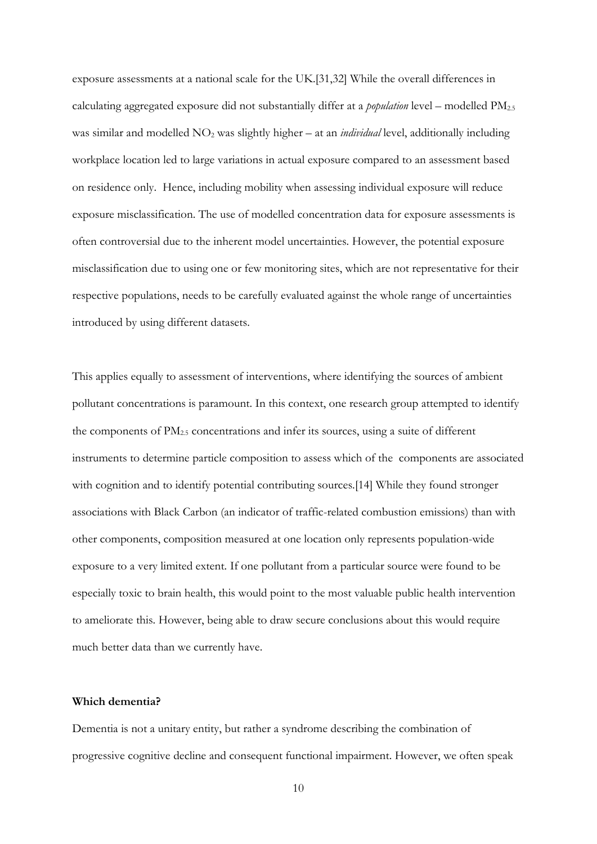exposure assessments at a national scale for the UK.[31,32] While the overall differences in calculating aggregated exposure did not substantially differ at a *population* level – modelled PM2.5 was similar and modelled NO<sub>2</sub> was slightly higher – at an *individual* level, additionally including workplace location led to large variations in actual exposure compared to an assessment based on residence only. Hence, including mobility when assessing individual exposure will reduce exposure misclassification. The use of modelled concentration data for exposure assessments is often controversial due to the inherent model uncertainties. However, the potential exposure misclassification due to using one or few monitoring sites, which are not representative for their respective populations, needs to be carefully evaluated against the whole range of uncertainties introduced by using different datasets.

This applies equally to assessment of interventions, where identifying the sources of ambient pollutant concentrations is paramount. In this context, one research group attempted to identify the components of  $PM<sub>2.5</sub>$  concentrations and infer its sources, using a suite of different instruments to determine particle composition to assess which of the components are associated with cognition and to identify potential contributing sources.[14] While they found stronger associations with Black Carbon (an indicator of traffic-related combustion emissions) than with other components, composition measured at one location only represents population-wide exposure to a very limited extent. If one pollutant from a particular source were found to be especially toxic to brain health, this would point to the most valuable public health intervention to ameliorate this. However, being able to draw secure conclusions about this would require much better data than we currently have.

## **Which dementia?**

Dementia is not a unitary entity, but rather a syndrome describing the combination of progressive cognitive decline and consequent functional impairment. However, we often speak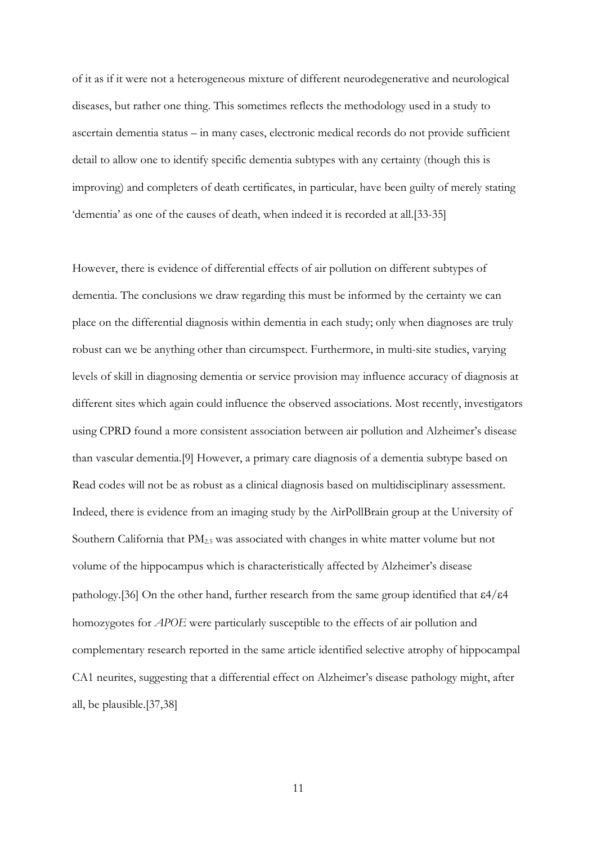of it as if it were not a heterogeneous mixture of different neurodegenerative and neurological diseases, but rather one thing. This sometimes reflects the methodology used in a study to ascertain dementia status – in many cases, electronic medical records do not provide sufficient detail to allow one to identify specific dementia subtypes with any certainty (though this is improving) and completers of death certificates, in particular, have been guilty of merely stating 'dementia' as one of the causes of death, when indeed it is recorded at all.[33-35]

However, there is evidence of differential effects of air pollution on different subtypes of dementia. The conclusions we draw regarding this must be informed by the certainty we can place on the differential diagnosis within dementia in each study; only when diagnoses are truly robust can we be anything other than circumspect. Furthermore, in multi-site studies, varying levels of skill in diagnosing dementia or service provision may influence accuracy of diagnosis at different sites which again could influence the observed associations. Most recently, investigators using CPRD found a more consistent association between air pollution and Alzheimer's disease than vascular dementia.[9] However, a primary care diagnosis of a dementia subtype based on Read codes will not be as robust as a clinical diagnosis based on multidisciplinary assessment. Indeed, there is evidence from an imaging study by the AirPollBrain group at the University of Southern California that PM2.5 was associated with changes in white matter volume but not volume of the hippocampus which is characteristically affected by Alzheimer's disease pathology.[36] On the other hand, further research from the same group identified that  $\epsilon 4/\epsilon 4$ homozygotes for *APOE* were particularly susceptible to the effects of air pollution and complementary research reported in the same article identified selective atrophy of hippocampal CA1 neurites, suggesting that a differential effect on Alzheimer's disease pathology might, after all, be plausible.[37,38]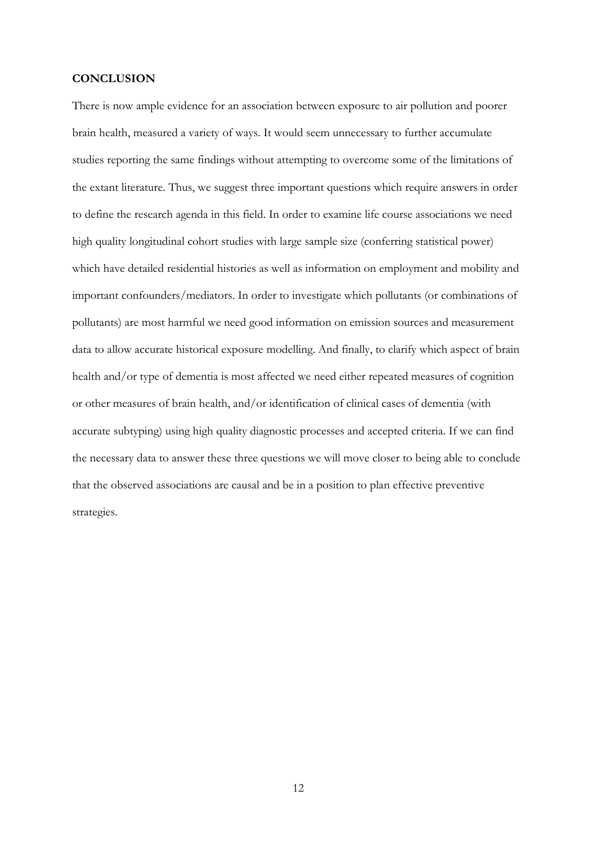### **CONCLUSION**

There is now ample evidence for an association between exposure to air pollution and poorer brain health, measured a variety of ways. It would seem unnecessary to further accumulate studies reporting the same findings without attempting to overcome some of the limitations of the extant literature. Thus, we suggest three important questions which require answers in order to define the research agenda in this field. In order to examine life course associations we need high quality longitudinal cohort studies with large sample size (conferring statistical power) which have detailed residential histories as well as information on employment and mobility and important confounders/mediators. In order to investigate which pollutants (or combinations of pollutants) are most harmful we need good information on emission sources and measurement data to allow accurate historical exposure modelling. And finally, to clarify which aspect of brain health and/or type of dementia is most affected we need either repeated measures of cognition or other measures of brain health, and/or identification of clinical cases of dementia (with accurate subtyping) using high quality diagnostic processes and accepted criteria. If we can find the necessary data to answer these three questions we will move closer to being able to conclude that the observed associations are causal and be in a position to plan effective preventive strategies.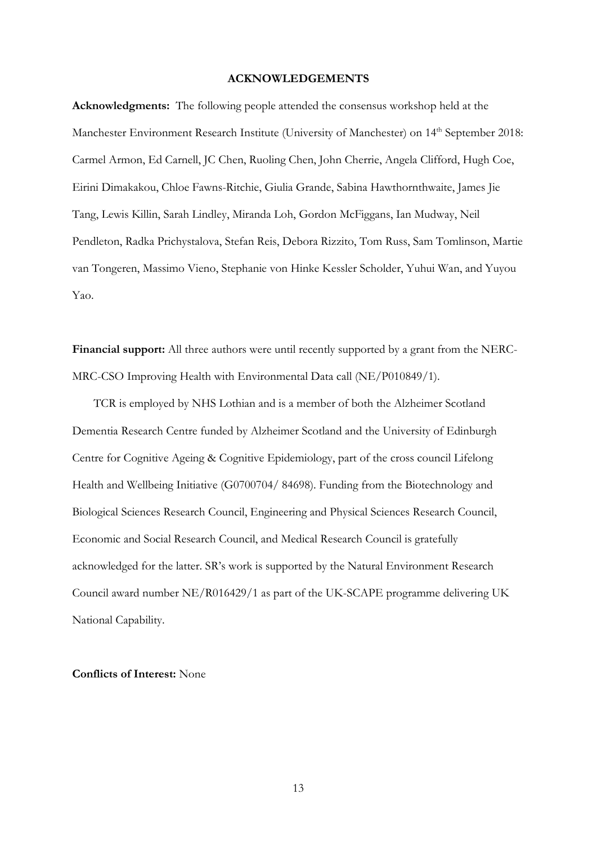#### **ACKNOWLEDGEMENTS**

**Acknowledgments:** The following people attended the consensus workshop held at the Manchester Environment Research Institute (University of Manchester) on 14<sup>th</sup> September 2018: Carmel Armon, Ed Carnell, JC Chen, Ruoling Chen, John Cherrie, Angela Clifford, Hugh Coe, Eirini Dimakakou, Chloe Fawns-Ritchie, Giulia Grande, Sabina Hawthornthwaite, James Jie Tang, Lewis Killin, Sarah Lindley, Miranda Loh, Gordon McFiggans, Ian Mudway, Neil Pendleton, Radka Prichystalova, Stefan Reis, Debora Rizzito, Tom Russ, Sam Tomlinson, Martie van Tongeren, Massimo Vieno, Stephanie von Hinke Kessler Scholder, Yuhui Wan, and Yuyou Yao.

**Financial support:** All three authors were until recently supported by a grant from the NERC-MRC-CSO Improving Health with Environmental Data call (NE/P010849/1).

TCR is employed by NHS Lothian and is a member of both the Alzheimer Scotland Dementia Research Centre funded by Alzheimer Scotland and the University of Edinburgh Centre for Cognitive Ageing & Cognitive Epidemiology, part of the cross council Lifelong Health and Wellbeing Initiative (G0700704/ 84698). Funding from the Biotechnology and Biological Sciences Research Council, Engineering and Physical Sciences Research Council, Economic and Social Research Council, and Medical Research Council is gratefully acknowledged for the latter. SR's work is supported by the Natural Environment Research Council award number NE/R016429/1 as part of the UK-SCAPE programme delivering UK National Capability.

## **Conflicts of Interest:** None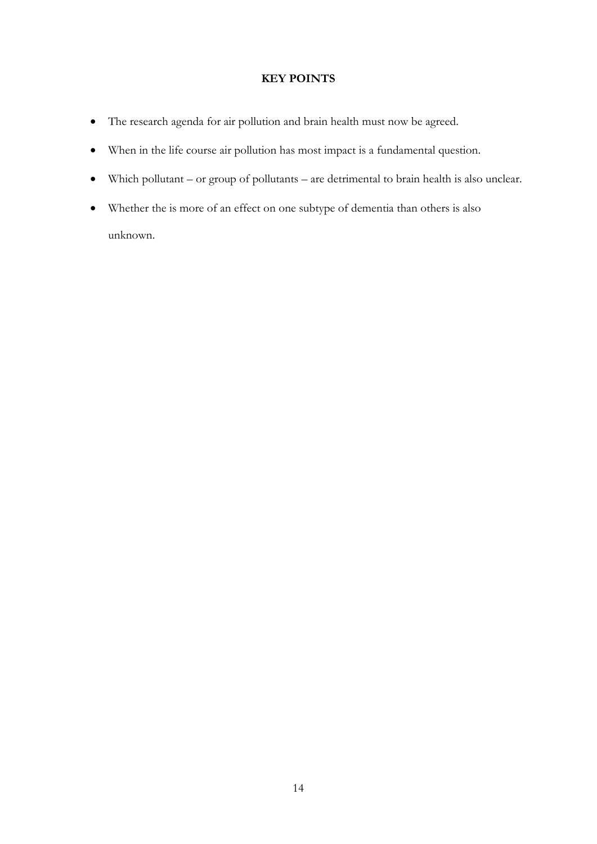## **KEY POINTS**

- The research agenda for air pollution and brain health must now be agreed.
- When in the life course air pollution has most impact is a fundamental question.
- Which pollutant or group of pollutants are detrimental to brain health is also unclear.
- Whether the is more of an effect on one subtype of dementia than others is also unknown.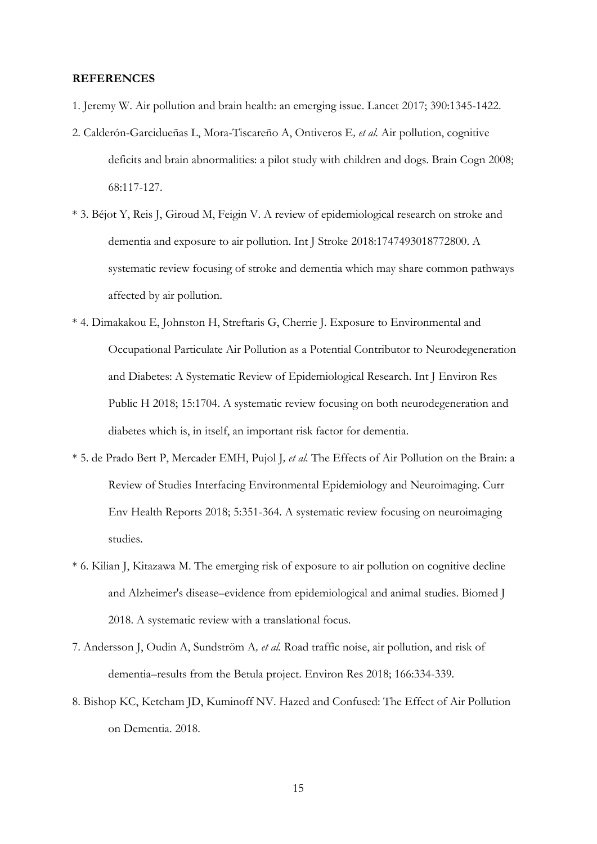#### **REFERENCES**

- 1. Jeremy W. Air pollution and brain health: an emerging issue. Lancet 2017; 390:1345-1422.
- 2. Calderón-Garcidueñas L, Mora-Tiscareño A, Ontiveros E*, et al.* Air pollution, cognitive deficits and brain abnormalities: a pilot study with children and dogs. Brain Cogn 2008; 68:117-127.
- \* 3. Béjot Y, Reis J, Giroud M, Feigin V. A review of epidemiological research on stroke and dementia and exposure to air pollution. Int J Stroke 2018:1747493018772800. A systematic review focusing of stroke and dementia which may share common pathways affected by air pollution.
- \* 4. Dimakakou E, Johnston H, Streftaris G, Cherrie J. Exposure to Environmental and Occupational Particulate Air Pollution as a Potential Contributor to Neurodegeneration and Diabetes: A Systematic Review of Epidemiological Research. Int J Environ Res Public H 2018; 15:1704. A systematic review focusing on both neurodegeneration and diabetes which is, in itself, an important risk factor for dementia.
- \* 5. de Prado Bert P, Mercader EMH, Pujol J*, et al.* The Effects of Air Pollution on the Brain: a Review of Studies Interfacing Environmental Epidemiology and Neuroimaging. Curr Env Health Reports 2018; 5:351-364. A systematic review focusing on neuroimaging studies.
- \* 6. Kilian J, Kitazawa M. The emerging risk of exposure to air pollution on cognitive decline and Alzheimer's disease–evidence from epidemiological and animal studies. Biomed J 2018. A systematic review with a translational focus.
- 7. Andersson J, Oudin A, Sundström A*, et al.* Road traffic noise, air pollution, and risk of dementia–results from the Betula project. Environ Res 2018; 166:334-339.
- 8. Bishop KC, Ketcham JD, Kuminoff NV. Hazed and Confused: The Effect of Air Pollution on Dementia. 2018.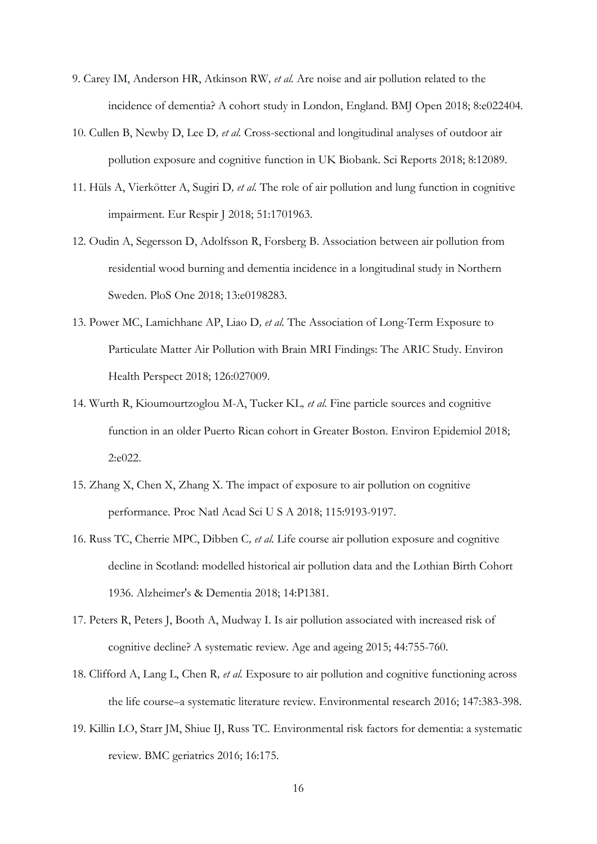- 9. Carey IM, Anderson HR, Atkinson RW*, et al.* Are noise and air pollution related to the incidence of dementia? A cohort study in London, England. BMJ Open 2018; 8:e022404.
- 10. Cullen B, Newby D, Lee D*, et al.* Cross-sectional and longitudinal analyses of outdoor air pollution exposure and cognitive function in UK Biobank. Sci Reports 2018; 8:12089.
- 11. Hüls A, Vierkötter A, Sugiri D*, et al.* The role of air pollution and lung function in cognitive impairment. Eur Respir J 2018; 51:1701963.
- 12. Oudin A, Segersson D, Adolfsson R, Forsberg B. Association between air pollution from residential wood burning and dementia incidence in a longitudinal study in Northern Sweden. PloS One 2018; 13:e0198283.
- 13. Power MC, Lamichhane AP, Liao D*, et al.* The Association of Long-Term Exposure to Particulate Matter Air Pollution with Brain MRI Findings: The ARIC Study. Environ Health Perspect 2018; 126:027009.
- 14. Wurth R, Kioumourtzoglou M-A, Tucker KL*, et al.* Fine particle sources and cognitive function in an older Puerto Rican cohort in Greater Boston. Environ Epidemiol 2018; 2:e022.
- 15. Zhang X, Chen X, Zhang X. The impact of exposure to air pollution on cognitive performance. Proc Natl Acad Sci U S A 2018; 115:9193-9197.
- 16. Russ TC, Cherrie MPC, Dibben C*, et al.* Life course air pollution exposure and cognitive decline in Scotland: modelled historical air pollution data and the Lothian Birth Cohort 1936. Alzheimer's & Dementia 2018; 14:P1381.
- 17. Peters R, Peters J, Booth A, Mudway I. Is air pollution associated with increased risk of cognitive decline? A systematic review. Age and ageing 2015; 44:755-760.
- 18. Clifford A, Lang L, Chen R*, et al.* Exposure to air pollution and cognitive functioning across the life course–a systematic literature review. Environmental research 2016; 147:383-398.
- 19. Killin LO, Starr JM, Shiue IJ, Russ TC. Environmental risk factors for dementia: a systematic review. BMC geriatrics 2016; 16:175.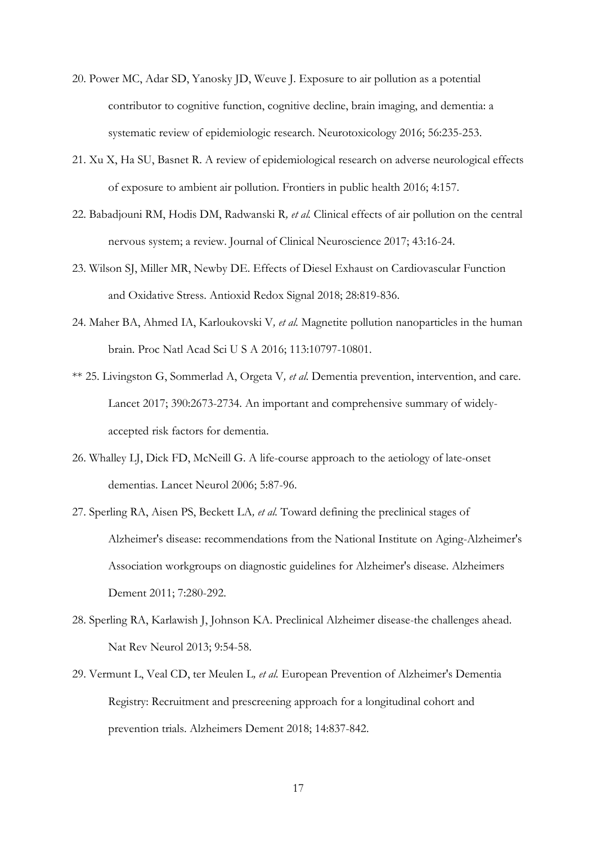- 20. Power MC, Adar SD, Yanosky JD, Weuve J. Exposure to air pollution as a potential contributor to cognitive function, cognitive decline, brain imaging, and dementia: a systematic review of epidemiologic research. Neurotoxicology 2016; 56:235-253.
- 21. Xu X, Ha SU, Basnet R. A review of epidemiological research on adverse neurological effects of exposure to ambient air pollution. Frontiers in public health 2016; 4:157.
- 22. Babadjouni RM, Hodis DM, Radwanski R*, et al.* Clinical effects of air pollution on the central nervous system; a review. Journal of Clinical Neuroscience 2017; 43:16-24.
- 23. Wilson SJ, Miller MR, Newby DE. Effects of Diesel Exhaust on Cardiovascular Function and Oxidative Stress. Antioxid Redox Signal 2018; 28:819-836.
- 24. Maher BA, Ahmed IA, Karloukovski V*, et al.* Magnetite pollution nanoparticles in the human brain. Proc Natl Acad Sci U S A 2016; 113:10797-10801.
- \*\* 25. Livingston G, Sommerlad A, Orgeta V*, et al.* Dementia prevention, intervention, and care. Lancet 2017; 390:2673-2734. An important and comprehensive summary of widelyaccepted risk factors for dementia.
- 26. Whalley LJ, Dick FD, McNeill G. A life-course approach to the aetiology of late-onset dementias. Lancet Neurol 2006; 5:87-96.
- 27. Sperling RA, Aisen PS, Beckett LA*, et al.* Toward defining the preclinical stages of Alzheimer's disease: recommendations from the National Institute on Aging-Alzheimer's Association workgroups on diagnostic guidelines for Alzheimer's disease. Alzheimers Dement 2011; 7:280-292.
- 28. Sperling RA, Karlawish J, Johnson KA. Preclinical Alzheimer disease-the challenges ahead. Nat Rev Neurol 2013; 9:54-58.
- 29. Vermunt L, Veal CD, ter Meulen L*, et al.* European Prevention of Alzheimer's Dementia Registry: Recruitment and prescreening approach for a longitudinal cohort and prevention trials. Alzheimers Dement 2018; 14:837-842.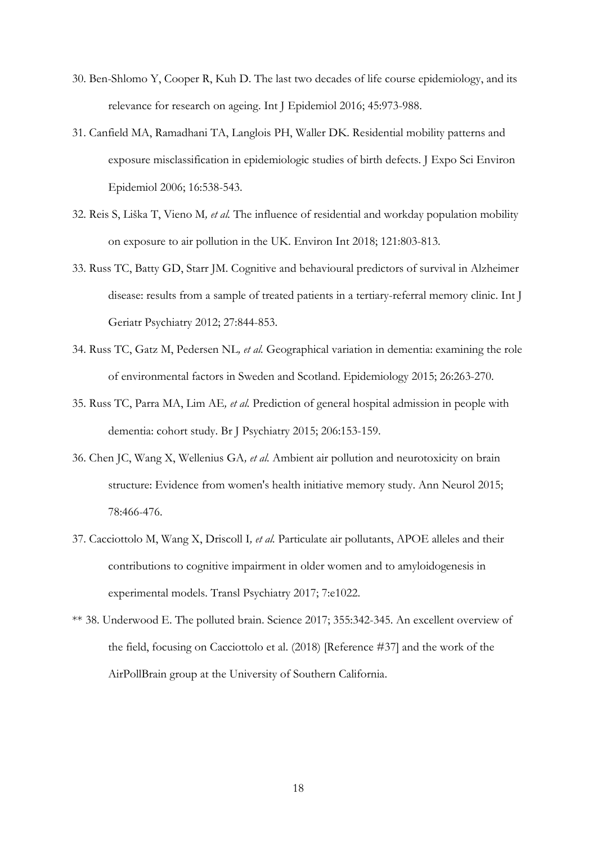- 30. Ben-Shlomo Y, Cooper R, Kuh D. The last two decades of life course epidemiology, and its relevance for research on ageing. Int J Epidemiol 2016; 45:973-988.
- 31. Canfield MA, Ramadhani TA, Langlois PH, Waller DK. Residential mobility patterns and exposure misclassification in epidemiologic studies of birth defects. J Expo Sci Environ Epidemiol 2006; 16:538-543.
- 32. Reis S, Liška T, Vieno M*, et al.* The influence of residential and workday population mobility on exposure to air pollution in the UK. Environ Int 2018; 121:803-813.
- 33. Russ TC, Batty GD, Starr JM. Cognitive and behavioural predictors of survival in Alzheimer disease: results from a sample of treated patients in a tertiary-referral memory clinic. Int J Geriatr Psychiatry 2012; 27:844-853.
- 34. Russ TC, Gatz M, Pedersen NL*, et al.* Geographical variation in dementia: examining the role of environmental factors in Sweden and Scotland. Epidemiology 2015; 26:263-270.
- 35. Russ TC, Parra MA, Lim AE*, et al.* Prediction of general hospital admission in people with dementia: cohort study. Br J Psychiatry 2015; 206:153-159.
- 36. Chen JC, Wang X, Wellenius GA*, et al.* Ambient air pollution and neurotoxicity on brain structure: Evidence from women's health initiative memory study. Ann Neurol 2015; 78:466-476.
- 37. Cacciottolo M, Wang X, Driscoll I*, et al.* Particulate air pollutants, APOE alleles and their contributions to cognitive impairment in older women and to amyloidogenesis in experimental models. Transl Psychiatry 2017; 7:e1022.
- \*\* 38. Underwood E. The polluted brain. Science 2017; 355:342-345. An excellent overview of the field, focusing on Cacciottolo et al. (2018) [Reference #37] and the work of the AirPollBrain group at the University of Southern California.